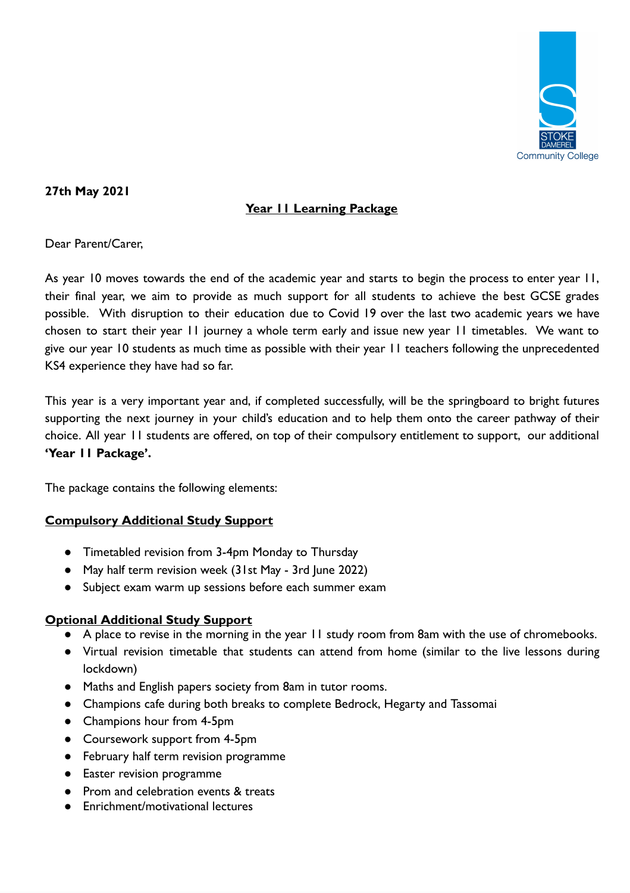

### **27th May 2021**

# **Year 11 Learning Package**

Dear Parent/Carer,

As year 10 moves towards the end of the academic year and starts to begin the process to enter year 11, their final year, we aim to provide as much support for all students to achieve the best GCSE grades possible. With disruption to their education due to Covid 19 over the last two academic years we have chosen to start their year 11 journey a whole term early and issue new year 11 timetables. We want to give our year 10 students as much time as possible with their year 11 teachers following the unprecedented KS4 experience they have had so far.

This year is a very important year and, if completed successfully, will be the springboard to bright futures supporting the next journey in your child's education and to help them onto the career pathway of their choice. All year 11 students are offered, on top of their compulsory entitlement to support, our additional **'Year 11 Package'.** 

The package contains the following elements:

#### **Compulsory Additional Study Support**

- Timetabled revision from 3-4pm Monday to Thursday
- May half term revision week (31st May 3rd June 2022)
- Subject exam warm up sessions before each summer exam

#### **Optional Additional Study Support**

- A place to revise in the morning in the year 11 study room from 8am with the use of chromebooks.
- Virtual revision timetable that students can attend from home (similar to the live lessons during lockdown)
- Maths and English papers society from 8am in tutor rooms.
- Champions cafe during both breaks to complete Bedrock, Hegarty and Tassomai
- Champions hour from 4-5pm
- Coursework support from 4-5pm
- February half term revision programme
- Easter revision programme
- Prom and celebration events & treats
- Enrichment/motivational lectures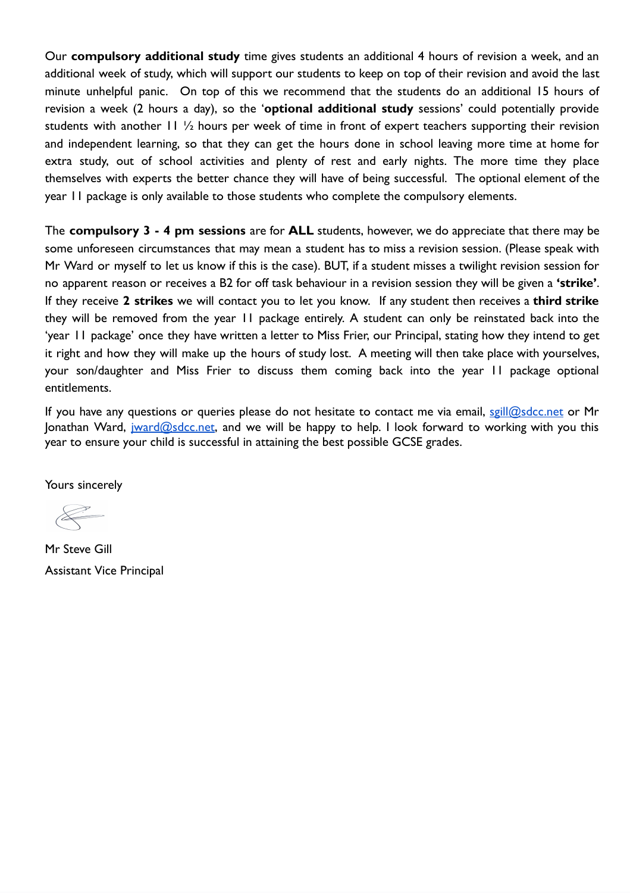Our **compulsory additional study** time gives students an additional 4 hours of revision a week, and an additional week of study, which will support our students to keep on top of their revision and avoid the last minute unhelpful panic. On top of this we recommend that the students do an additional 15 hours of revision a week (2 hours a day), so the 'optional additional study sessions' could potentially provide students with another 11 ½ hours per week of time in front of expert teachers supporting their revision and independent learning, so that they can get the hours done in school leaving more time at home for extra study, out of school activities and plenty of rest and early nights. The more time they place themselves with experts the better chance they will have of being successful. The optional element of the year 11 package is only available to those students who complete the compulsory elements.

The **compulsory 3 - 4 pm sessions** are for **ALL** students, however, we do appreciate that there may be some unforeseen circumstances that may mean a student has to miss a revision session. (Please speak with Mr Ward or myself to let us know if this is the case). BUT, if a student misses a twilight revision session for no apparent reason or receives a B2 for off task behaviour in a revision session they will be given a **'strike'** . If they receive **2 strikes** we will contact you to let you know. If any student then receives a **third strike**  they will be removed from the year 11 package entirely. A student can only be reinstated back into the 'year 11 package' once they have written a letter to Miss Frier, our Principal, stating how they intend to get it right and how they will make up the hours of study lost. A meeting will then take place with yourselves, your son/daughter and Miss Frier to discuss them coming back into the year 11 package optional entitlements.

If you have any questions or queries please do not hesitate to contact me via email, [sgill@sdcc.net](mailto:sgill@sdcc.net) or Mr Jonathan Ward, *jward@sdcc.net*, and we will be happy to help. I look forward to working with you this year to ensure your child is successful in attaining the best possible GCSE grades.

Yours sincerely

 $\begin{picture}(220,20) \put(0,0){\line(1,0){10}} \put(15,0){\line(1,0){10}} \put(15,0){\line(1,0){10}} \put(15,0){\line(1,0){10}} \put(15,0){\line(1,0){10}} \put(15,0){\line(1,0){10}} \put(15,0){\line(1,0){10}} \put(15,0){\line(1,0){10}} \put(15,0){\line(1,0){10}} \put(15,0){\line(1,0){10}} \put(15,0){\line(1,0){10}} \put(15,0){\line($ 

Mr Steve Gill Assistant Vice Principal